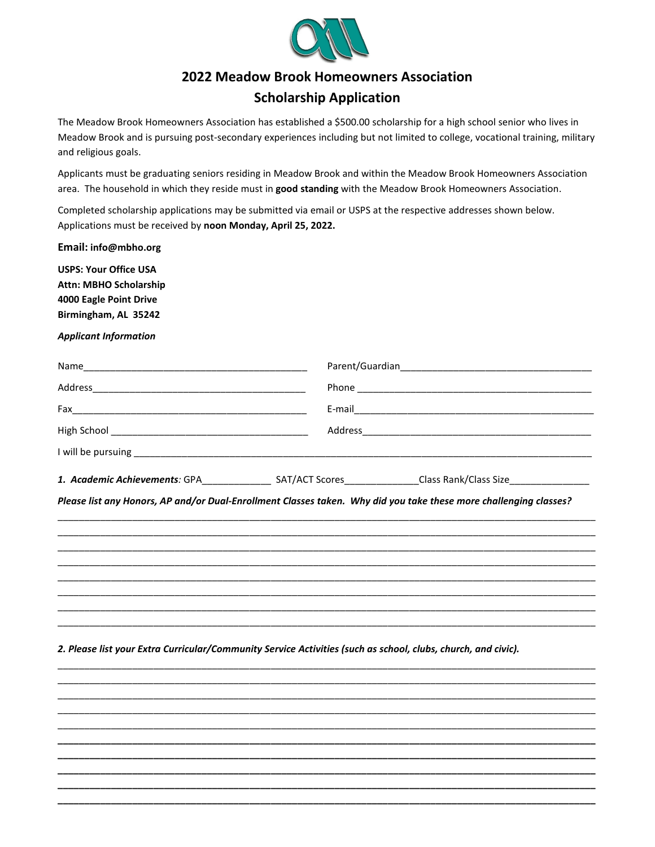

## **2022 Meadow Brook Homeowners Association**

## **Scholarship Application**

The Meadow Brook Homeowners Association has established a \$500.00 scholarship for a high school senior who lives in Meadow Brook and is pursuing post-secondary experiences including but not limited to college, vocational training, military and religious goals.

Applicants must be graduating seniors residing in Meadow Brook and within the Meadow Brook Homeowners Association area. The household in which they reside must in **good standing** with the Meadow Brook Homeowners Association.

Completed scholarship applications may be submitted via email or USPS at the respective addresses shown below. Applications must be received by **noon Monday, April 25, 2022.**

**Email: info@mbho.org**

**USPS: Your Office USA Attn: MBHO Scholarship 4000 Eagle Point Drive Birmingham, AL 35242**

*Applicant Information*

| 1. Academic Achievements: GPA | SAT/ACT Scores | Class Rank/Class Size |  |
|-------------------------------|----------------|-----------------------|--|

*Please list any Honors, AP and/or Dual-Enrollment Classes taken. Why did you take these more challenging classes?*

\_\_\_\_\_\_\_\_\_\_\_\_\_\_\_\_\_\_\_\_\_\_\_\_\_\_\_\_\_\_\_\_\_\_\_\_\_\_\_\_\_\_\_\_\_\_\_\_\_\_\_\_\_\_\_\_\_\_\_\_\_\_\_\_\_\_\_\_\_\_\_\_\_\_\_\_\_\_\_\_\_\_\_\_\_\_\_\_\_\_\_\_\_\_\_\_\_\_\_\_\_ \_\_\_\_\_\_\_\_\_\_\_\_\_\_\_\_\_\_\_\_\_\_\_\_\_\_\_\_\_\_\_\_\_\_\_\_\_\_\_\_\_\_\_\_\_\_\_\_\_\_\_\_\_\_\_\_\_\_\_\_\_\_\_\_\_\_\_\_\_\_\_\_\_\_\_\_\_\_\_\_\_\_\_\_\_\_\_\_\_\_\_\_\_\_\_\_\_\_\_\_\_ \_\_\_\_\_\_\_\_\_\_\_\_\_\_\_\_\_\_\_\_\_\_\_\_\_\_\_\_\_\_\_\_\_\_\_\_\_\_\_\_\_\_\_\_\_\_\_\_\_\_\_\_\_\_\_\_\_\_\_\_\_\_\_\_\_\_\_\_\_\_\_\_\_\_\_\_\_\_\_\_\_\_\_\_\_\_\_\_\_\_\_\_\_\_\_\_\_\_\_\_\_ \_\_\_\_\_\_\_\_\_\_\_\_\_\_\_\_\_\_\_\_\_\_\_\_\_\_\_\_\_\_\_\_\_\_\_\_\_\_\_\_\_\_\_\_\_\_\_\_\_\_\_\_\_\_\_\_\_\_\_\_\_\_\_\_\_\_\_\_\_\_\_\_\_\_\_\_\_\_\_\_\_\_\_\_\_\_\_\_\_\_\_\_\_\_\_\_\_\_\_\_\_ \_\_\_\_\_\_\_\_\_\_\_\_\_\_\_\_\_\_\_\_\_\_\_\_\_\_\_\_\_\_\_\_\_\_\_\_\_\_\_\_\_\_\_\_\_\_\_\_\_\_\_\_\_\_\_\_\_\_\_\_\_\_\_\_\_\_\_\_\_\_\_\_\_\_\_\_\_\_\_\_\_\_\_\_\_\_\_\_\_\_\_\_\_\_\_\_\_\_\_\_\_ \_\_\_\_\_\_\_\_\_\_\_\_\_\_\_\_\_\_\_\_\_\_\_\_\_\_\_\_\_\_\_\_\_\_\_\_\_\_\_\_\_\_\_\_\_\_\_\_\_\_\_\_\_\_\_\_\_\_\_\_\_\_\_\_\_\_\_\_\_\_\_\_\_\_\_\_\_\_\_\_\_\_\_\_\_\_\_\_\_\_\_\_\_\_\_\_\_\_\_\_\_ \_\_\_\_\_\_\_\_\_\_\_\_\_\_\_\_\_\_\_\_\_\_\_\_\_\_\_\_\_\_\_\_\_\_\_\_\_\_\_\_\_\_\_\_\_\_\_\_\_\_\_\_\_\_\_\_\_\_\_\_\_\_\_\_\_\_\_\_\_\_\_\_\_\_\_\_\_\_\_\_\_\_\_\_\_\_\_\_\_\_\_\_\_\_\_\_\_\_\_\_\_ \_\_\_\_\_\_\_\_\_\_\_\_\_\_\_\_\_\_\_\_\_\_\_\_\_\_\_\_\_\_\_\_\_\_\_\_\_\_\_\_\_\_\_\_\_\_\_\_\_\_\_\_\_\_\_\_\_\_\_\_\_\_\_\_\_\_\_\_\_\_\_\_\_\_\_\_\_\_\_\_\_\_\_\_\_\_\_\_\_\_\_\_\_\_\_\_\_\_\_\_\_

\_\_\_\_\_\_\_\_\_\_\_\_\_\_\_\_\_\_\_\_\_\_\_\_\_\_\_\_\_\_\_\_\_\_\_\_\_\_\_\_\_\_\_\_\_\_\_\_\_\_\_\_\_\_\_\_\_\_\_\_\_\_\_\_\_\_\_\_\_\_\_\_\_\_\_\_\_\_\_\_\_\_\_\_\_\_\_\_\_\_\_\_\_\_\_\_\_\_\_\_\_ \_\_\_\_\_\_\_\_\_\_\_\_\_\_\_\_\_\_\_\_\_\_\_\_\_\_\_\_\_\_\_\_\_\_\_\_\_\_\_\_\_\_\_\_\_\_\_\_\_\_\_\_\_\_\_\_\_\_\_\_\_\_\_\_\_\_\_\_\_\_\_\_\_\_\_\_\_\_\_\_\_\_\_\_\_\_\_\_\_\_\_\_\_\_\_\_\_\_\_\_\_ \_\_\_\_\_\_\_\_\_\_\_\_\_\_\_\_\_\_\_\_\_\_\_\_\_\_\_\_\_\_\_\_\_\_\_\_\_\_\_\_\_\_\_\_\_\_\_\_\_\_\_\_\_\_\_\_\_\_\_\_\_\_\_\_\_\_\_\_\_\_\_\_\_\_\_\_\_\_\_\_\_\_\_\_\_\_\_\_\_\_\_\_\_\_\_\_\_\_\_\_\_ \_\_\_\_\_\_\_\_\_\_\_\_\_\_\_\_\_\_\_\_\_\_\_\_\_\_\_\_\_\_\_\_\_\_\_\_\_\_\_\_\_\_\_\_\_\_\_\_\_\_\_\_\_\_\_\_\_\_\_\_\_\_\_\_\_\_\_\_\_\_\_\_\_\_\_\_\_\_\_\_\_\_\_\_\_\_\_\_\_\_\_\_\_\_\_\_\_\_\_\_\_ \_\_\_\_\_\_\_\_\_\_\_\_\_\_\_\_\_\_\_\_\_\_\_\_\_\_\_\_\_\_\_\_\_\_\_\_\_\_\_\_\_\_\_\_\_\_\_\_\_\_\_\_\_\_\_\_\_\_\_\_\_\_\_\_\_\_\_\_\_\_\_\_\_\_\_\_\_\_\_\_\_\_\_\_\_\_\_\_\_\_\_\_\_\_\_\_\_\_\_\_\_ **\_\_\_\_\_\_\_\_\_\_\_\_\_\_\_\_\_\_\_\_\_\_\_\_\_\_\_\_\_\_\_\_\_\_\_\_\_\_\_\_\_\_\_\_\_\_\_\_\_\_\_\_\_\_\_\_\_\_\_\_\_\_\_\_\_\_\_\_\_\_\_\_\_\_\_\_\_\_\_\_\_\_\_\_\_\_\_\_\_\_\_\_\_\_\_\_\_\_\_\_\_ \_\_\_\_\_\_\_\_\_\_\_\_\_\_\_\_\_\_\_\_\_\_\_\_\_\_\_\_\_\_\_\_\_\_\_\_\_\_\_\_\_\_\_\_\_\_\_\_\_\_\_\_\_\_\_\_\_\_\_\_\_\_\_\_\_\_\_\_\_\_\_\_\_\_\_\_\_\_\_\_\_\_\_\_\_\_\_\_\_\_\_\_\_\_\_\_\_\_\_\_\_ \_\_\_\_\_\_\_\_\_\_\_\_\_\_\_\_\_\_\_\_\_\_\_\_\_\_\_\_\_\_\_\_\_\_\_\_\_\_\_\_\_\_\_\_\_\_\_\_\_\_\_\_\_\_\_\_\_\_\_\_\_\_\_\_\_\_\_\_\_\_\_\_\_\_\_\_\_\_\_\_\_\_\_\_\_\_\_\_\_\_\_\_\_\_\_\_\_\_\_\_\_ \_\_\_\_\_\_\_\_\_\_\_\_\_\_\_\_\_\_\_\_\_\_\_\_\_\_\_\_\_\_\_\_\_\_\_\_\_\_\_\_\_\_\_\_\_\_\_\_\_\_\_\_\_\_\_\_\_\_\_\_\_\_\_\_\_\_\_\_\_\_\_\_\_\_\_\_\_\_\_\_\_\_\_\_\_\_\_\_\_\_\_\_\_\_\_\_\_\_\_\_\_ \_\_\_\_\_\_\_\_\_\_\_\_\_\_\_\_\_\_\_\_\_\_\_\_\_\_\_\_\_\_\_\_\_\_\_\_\_\_\_\_\_\_\_\_\_\_\_\_\_\_\_\_\_\_\_\_\_\_\_\_\_\_\_\_\_\_\_\_\_\_\_\_\_\_\_\_\_\_\_\_\_\_\_\_\_\_\_\_\_\_\_\_\_\_\_\_\_\_\_\_\_**

*2. Please list your Extra Curricular/Community Service Activities (such as school, clubs, church, and civic).*